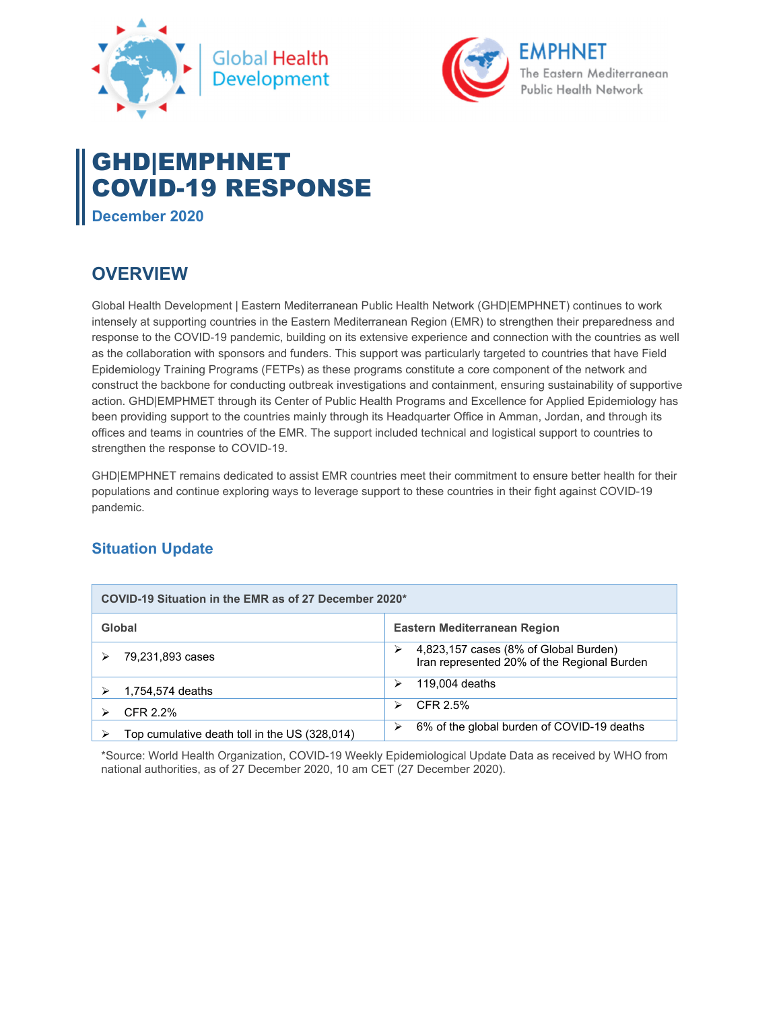



# GHD|EMPHNET COVID-19 RESPONSE

**December 2020** 

## **OVERVIEW**

Global Health Development | Eastern Mediterranean Public Health Network (GHD|EMPHNET) continues to work intensely at supporting countries in the Eastern Mediterranean Region (EMR) to strengthen their preparedness and response to the COVID-19 pandemic, building on its extensive experience and connection with the countries as well as the collaboration with sponsors and funders. This support was particularly targeted to countries that have Field Epidemiology Training Programs (FETPs) as these programs constitute a core component of the network and construct the backbone for conducting outbreak investigations and containment, ensuring sustainability of supportive action. GHD|EMPHMET through its Center of Public Health Programs and Excellence for Applied Epidemiology has been providing support to the countries mainly through its Headquarter Office in Amman, Jordan, and through its offices and teams in countries of the EMR. The support included technical and logistical support to countries to strengthen the response to COVID-19.

GHD|EMPHNET remains dedicated to assist EMR countries meet their commitment to ensure better health for their populations and continue exploring ways to leverage support to these countries in their fight against COVID-19 pandemic.

### **Situation Update**

| COVID-19 Situation in the EMR as of 27 December 2020* |                                                                                      |
|-------------------------------------------------------|--------------------------------------------------------------------------------------|
| Global                                                | Eastern Mediterranean Region                                                         |
| 79,231,893 cases                                      | 4,823,157 cases (8% of Global Burden)<br>Iran represented 20% of the Regional Burden |
| 1,754,574 deaths                                      | 119,004 deaths                                                                       |
| CFR 2.2%                                              | CFR 2.5%<br>⋗                                                                        |
| Top cumulative death toll in the US (328,014)         | 6% of the global burden of COVID-19 deaths<br>⋗                                      |

\*Source: World Health Organization, COVID-19 Weekly Epidemiological Update Data as received by WHO from national authorities, as of 27 December 2020, 10 am CET (27 December 2020).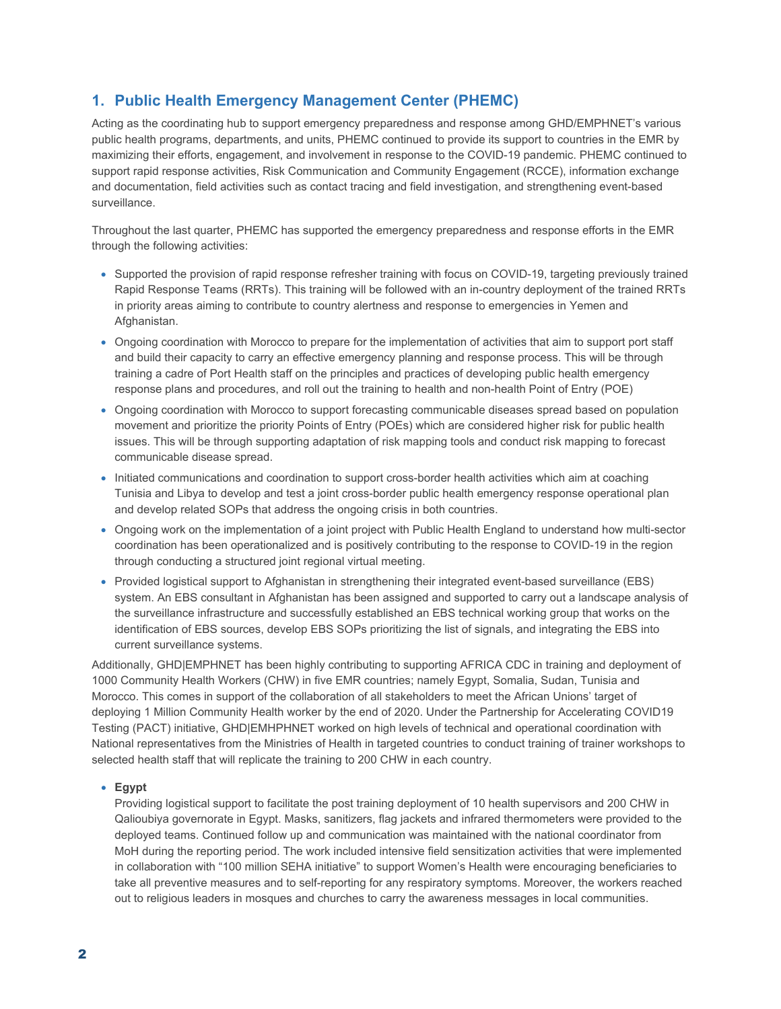### **1. Public Health Emergency Management Center (PHEMC)**

Acting as the coordinating hub to support emergency preparedness and response among GHD/EMPHNET's various public health programs, departments, and units, PHEMC continued to provide its support to countries in the EMR by maximizing their efforts, engagement, and involvement in response to the COVID-19 pandemic. PHEMC continued to support rapid response activities, Risk Communication and Community Engagement (RCCE), information exchange and documentation, field activities such as contact tracing and field investigation, and strengthening event-based surveillance.

Throughout the last quarter, PHEMC has supported the emergency preparedness and response efforts in the EMR through the following activities:

- Supported the provision of rapid response refresher training with focus on COVID-19, targeting previously trained Rapid Response Teams (RRTs). This training will be followed with an in-country deployment of the trained RRTs in priority areas aiming to contribute to country alertness and response to emergencies in Yemen and Afghanistan.
- Ongoing coordination with Morocco to prepare for the implementation of activities that aim to support port staff and build their capacity to carry an effective emergency planning and response process. This will be through training a cadre of Port Health staff on the principles and practices of developing public health emergency response plans and procedures, and roll out the training to health and non-health Point of Entry (POE)
- Ongoing coordination with Morocco to support forecasting communicable diseases spread based on population movement and prioritize the priority Points of Entry (POEs) which are considered higher risk for public health issues. This will be through supporting adaptation of risk mapping tools and conduct risk mapping to forecast communicable disease spread.
- Initiated communications and coordination to support cross-border health activities which aim at coaching Tunisia and Libya to develop and test a joint cross-border public health emergency response operational plan and develop related SOPs that address the ongoing crisis in both countries.
- Ongoing work on the implementation of a joint project with Public Health England to understand how multi-sector coordination has been operationalized and is positively contributing to the response to COVID-19 in the region through conducting a structured joint regional virtual meeting.
- Provided logistical support to Afghanistan in strengthening their integrated event-based surveillance (EBS) system. An EBS consultant in Afghanistan has been assigned and supported to carry out a landscape analysis of the surveillance infrastructure and successfully established an EBS technical working group that works on the identification of EBS sources, develop EBS SOPs prioritizing the list of signals, and integrating the EBS into current surveillance systems.

Additionally, GHD|EMPHNET has been highly contributing to supporting AFRICA CDC in training and deployment of 1000 Community Health Workers (CHW) in five EMR countries; namely Egypt, Somalia, Sudan, Tunisia and Morocco. This comes in support of the collaboration of all stakeholders to meet the African Unions' target of deploying 1 Million Community Health worker by the end of 2020. Under the Partnership for Accelerating COVID19 Testing (PACT) initiative, GHD|EMHPHNET worked on high levels of technical and operational coordination with National representatives from the Ministries of Health in targeted countries to conduct training of trainer workshops to selected health staff that will replicate the training to 200 CHW in each country.

#### **Egypt**

Providing logistical support to facilitate the post training deployment of 10 health supervisors and 200 CHW in Qalioubiya governorate in Egypt. Masks, sanitizers, flag jackets and infrared thermometers were provided to the deployed teams. Continued follow up and communication was maintained with the national coordinator from MoH during the reporting period. The work included intensive field sensitization activities that were implemented in collaboration with "100 million SEHA initiative" to support Women's Health were encouraging beneficiaries to take all preventive measures and to self-reporting for any respiratory symptoms. Moreover, the workers reached out to religious leaders in mosques and churches to carry the awareness messages in local communities.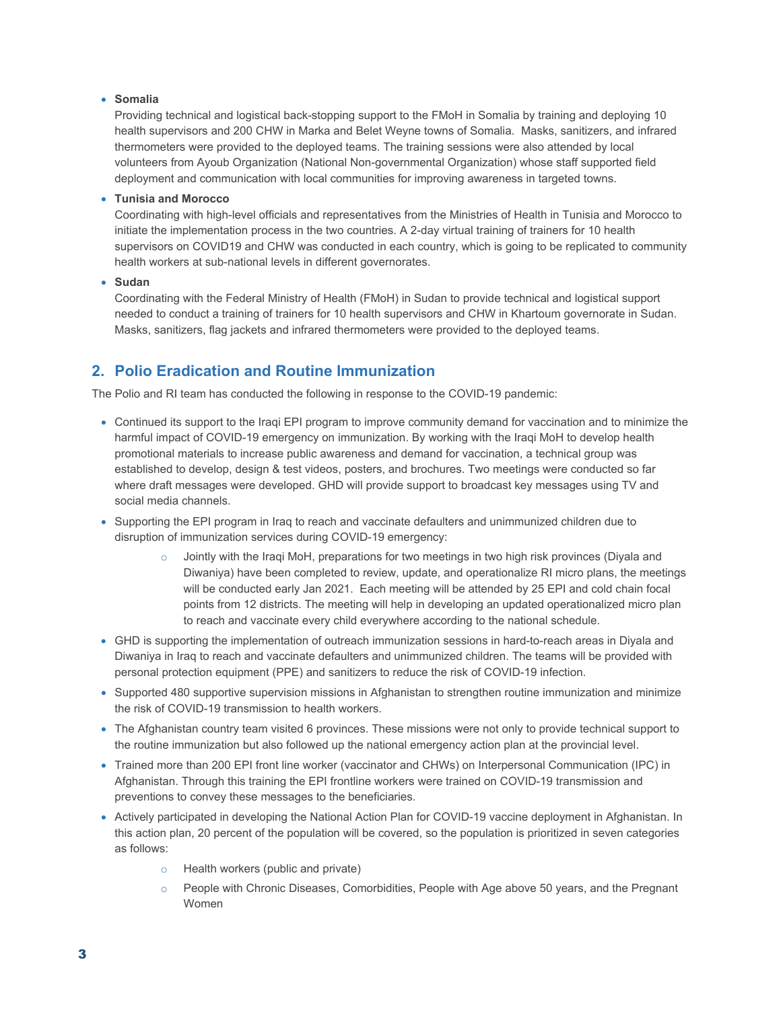### **Somalia**

Providing technical and logistical back-stopping support to the FMoH in Somalia by training and deploying 10 health supervisors and 200 CHW in Marka and Belet Weyne towns of Somalia. Masks, sanitizers, and infrared thermometers were provided to the deployed teams. The training sessions were also attended by local volunteers from Ayoub Organization (National Non-governmental Organization) whose staff supported field deployment and communication with local communities for improving awareness in targeted towns.

#### **Tunisia and Morocco**

Coordinating with high-level officials and representatives from the Ministries of Health in Tunisia and Morocco to initiate the implementation process in the two countries. A 2-day virtual training of trainers for 10 health supervisors on COVID19 and CHW was conducted in each country, which is going to be replicated to community health workers at sub-national levels in different governorates.

#### **Sudan**

Coordinating with the Federal Ministry of Health (FMoH) in Sudan to provide technical and logistical support needed to conduct a training of trainers for 10 health supervisors and CHW in Khartoum governorate in Sudan. Masks, sanitizers, flag jackets and infrared thermometers were provided to the deployed teams.

### **2. Polio Eradication and Routine Immunization**

The Polio and RI team has conducted the following in response to the COVID-19 pandemic:

- Continued its support to the Iraqi EPI program to improve community demand for vaccination and to minimize the harmful impact of COVID-19 emergency on immunization. By working with the Iraqi MoH to develop health promotional materials to increase public awareness and demand for vaccination, a technical group was established to develop, design & test videos, posters, and brochures. Two meetings were conducted so far where draft messages were developed. GHD will provide support to broadcast key messages using TV and social media channels.
- Supporting the EPI program in Iraq to reach and vaccinate defaulters and unimmunized children due to disruption of immunization services during COVID-19 emergency:
	- o Jointly with the Iraqi MoH, preparations for two meetings in two high risk provinces (Diyala and Diwaniya) have been completed to review, update, and operationalize RI micro plans, the meetings will be conducted early Jan 2021. Each meeting will be attended by 25 EPI and cold chain focal points from 12 districts. The meeting will help in developing an updated operationalized micro plan to reach and vaccinate every child everywhere according to the national schedule.
- GHD is supporting the implementation of outreach immunization sessions in hard-to-reach areas in Diyala and Diwaniya in Iraq to reach and vaccinate defaulters and unimmunized children. The teams will be provided with personal protection equipment (PPE) and sanitizers to reduce the risk of COVID-19 infection.
- Supported 480 supportive supervision missions in Afghanistan to strengthen routine immunization and minimize the risk of COVID-19 transmission to health workers.
- The Afghanistan country team visited 6 provinces. These missions were not only to provide technical support to the routine immunization but also followed up the national emergency action plan at the provincial level.
- Trained more than 200 EPI front line worker (vaccinator and CHWs) on Interpersonal Communication (IPC) in Afghanistan. Through this training the EPI frontline workers were trained on COVID-19 transmission and preventions to convey these messages to the beneficiaries.
- Actively participated in developing the National Action Plan for COVID-19 vaccine deployment in Afghanistan. In this action plan, 20 percent of the population will be covered, so the population is prioritized in seven categories as follows:
	- o Health workers (public and private)
	- $\circ$  People with Chronic Diseases, Comorbidities, People with Age above 50 years, and the Pregnant Women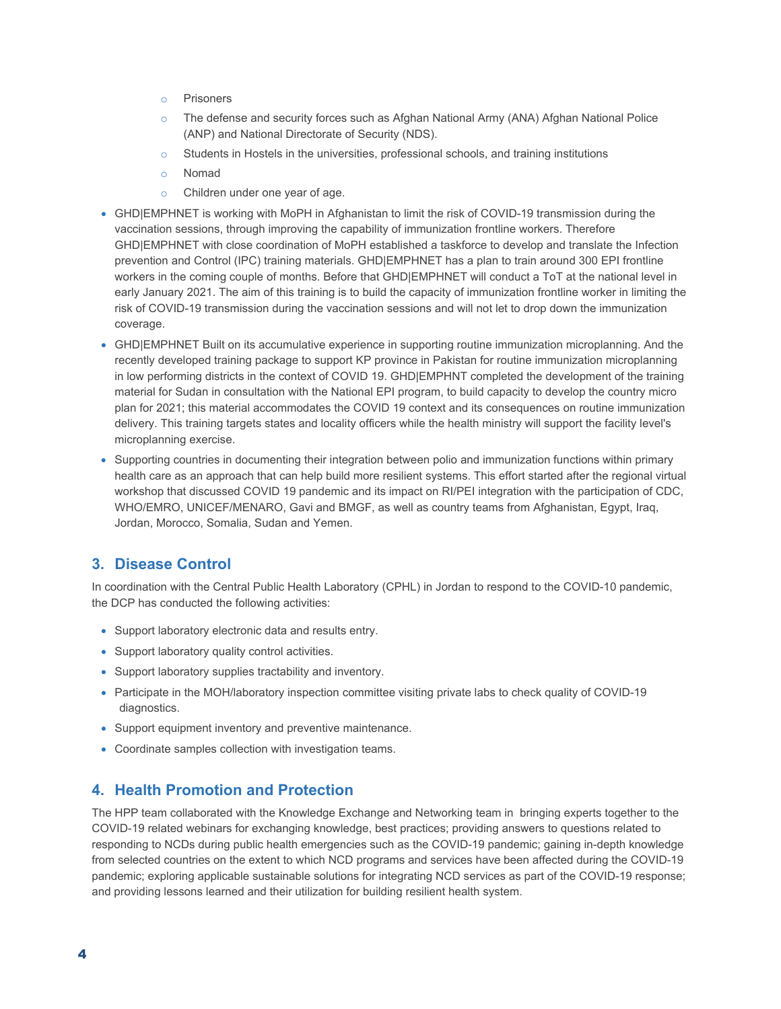- o Prisoners
- o The defense and security forces such as Afghan National Army (ANA) Afghan National Police (ANP) and National Directorate of Security (NDS).
- $\circ$  Students in Hostels in the universities, professional schools, and training institutions
- o Nomad
- o Children under one year of age.
- GHD|EMPHNET is working with MoPH in Afghanistan to limit the risk of COVID-19 transmission during the vaccination sessions, through improving the capability of immunization frontline workers. Therefore GHD|EMPHNET with close coordination of MoPH established a taskforce to develop and translate the Infection prevention and Control (IPC) training materials. GHD|EMPHNET has a plan to train around 300 EPI frontline workers in the coming couple of months. Before that GHD|EMPHNET will conduct a ToT at the national level in early January 2021. The aim of this training is to build the capacity of immunization frontline worker in limiting the risk of COVID-19 transmission during the vaccination sessions and will not let to drop down the immunization coverage.
- GHD|EMPHNET Built on its accumulative experience in supporting routine immunization microplanning. And the recently developed training package to support KP province in Pakistan for routine immunization microplanning in low performing districts in the context of COVID 19. GHD|EMPHNT completed the development of the training material for Sudan in consultation with the National EPI program, to build capacity to develop the country micro plan for 2021; this material accommodates the COVID 19 context and its consequences on routine immunization delivery. This training targets states and locality officers while the health ministry will support the facility level's microplanning exercise.
- Supporting countries in documenting their integration between polio and immunization functions within primary health care as an approach that can help build more resilient systems. This effort started after the regional virtual workshop that discussed COVID 19 pandemic and its impact on RI/PEI integration with the participation of CDC, WHO/EMRO, UNICEF/MENARO, Gavi and BMGF, as well as country teams from Afghanistan, Egypt, Iraq, Jordan, Morocco, Somalia, Sudan and Yemen.

### **3. Disease Control**

In coordination with the Central Public Health Laboratory (CPHL) in Jordan to respond to the COVID-10 pandemic, the DCP has conducted the following activities:

- Support laboratory electronic data and results entry.
- Support laboratory quality control activities.
- Support laboratory supplies tractability and inventory.
- Participate in the MOH/laboratory inspection committee visiting private labs to check quality of COVID-19 diagnostics.
- Support equipment inventory and preventive maintenance.
- Coordinate samples collection with investigation teams.

### **4. Health Promotion and Protection**

The HPP team collaborated with the Knowledge Exchange and Networking team in bringing experts together to the COVID-19 related webinars for exchanging knowledge, best practices; providing answers to questions related to responding to NCDs during public health emergencies such as the COVID-19 pandemic; gaining in-depth knowledge from selected countries on the extent to which NCD programs and services have been affected during the COVID-19 pandemic; exploring applicable sustainable solutions for integrating NCD services as part of the COVID-19 response; and providing lessons learned and their utilization for building resilient health system.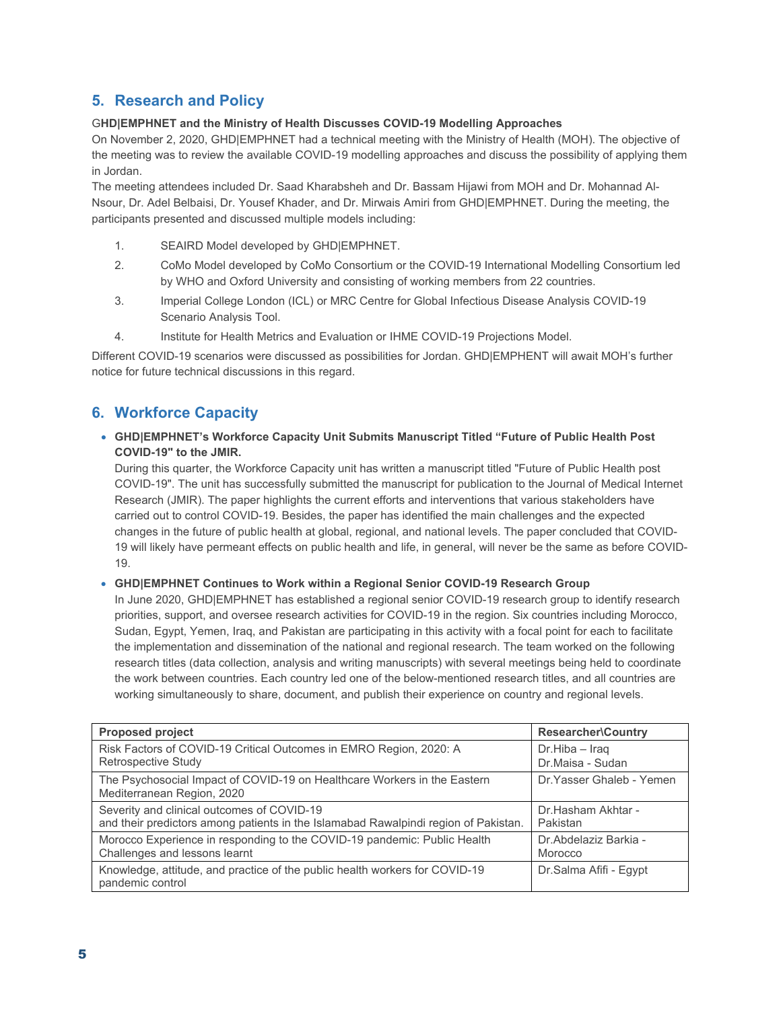### **5. Research and Policy**

### G**HD|EMPHNET and the Ministry of Health Discusses COVID-19 Modelling Approaches**

On November 2, 2020, GHD|EMPHNET had a technical meeting with the Ministry of Health (MOH). The objective of the meeting was to review the available COVID-19 modelling approaches and discuss the possibility of applying them in Jordan.

The meeting attendees included Dr. Saad Kharabsheh and Dr. Bassam Hijawi from MOH and Dr. Mohannad Al-Nsour, Dr. Adel Belbaisi, Dr. Yousef Khader, and Dr. Mirwais Amiri from GHD|EMPHNET. During the meeting, the participants presented and discussed multiple models including:

- 1. SEAIRD Model developed by GHD|EMPHNET.
- 2. CoMo Model developed by CoMo Consortium or the COVID-19 International Modelling Consortium led by WHO and Oxford University and consisting of working members from 22 countries.
- 3. Imperial College London (ICL) or MRC Centre for Global Infectious Disease Analysis COVID-19 Scenario Analysis Tool.
- 4. Institute for Health Metrics and Evaluation or IHME COVID-19 Projections Model.

Different COVID-19 scenarios were discussed as possibilities for Jordan. GHD|EMPHENT will await MOH's further notice for future technical discussions in this regard.

### **6. Workforce Capacity**

### **GHD|EMPHNET's Workforce Capacity Unit Submits Manuscript Titled "Future of Public Health Post COVID-19" to the JMIR.**

During this quarter, the Workforce Capacity unit has written a manuscript titled "Future of Public Health post COVID-19". The unit has successfully submitted the manuscript for publication to the Journal of Medical Internet Research (JMIR). The paper highlights the current efforts and interventions that various stakeholders have carried out to control COVID-19. Besides, the paper has identified the main challenges and the expected changes in the future of public health at global, regional, and national levels. The paper concluded that COVID-19 will likely have permeant effects on public health and life, in general, will never be the same as before COVID-19.

### **GHD|EMPHNET Continues to Work within a Regional Senior COVID-19 Research Group**

In June 2020, GHD|EMPHNET has established a regional senior COVID-19 research group to identify research priorities, support, and oversee research activities for COVID-19 in the region. Six countries including Morocco, Sudan, Egypt, Yemen, Iraq, and Pakistan are participating in this activity with a focal point for each to facilitate the implementation and dissemination of the national and regional research. The team worked on the following research titles (data collection, analysis and writing manuscripts) with several meetings being held to coordinate the work between countries. Each country led one of the below-mentioned research titles, and all countries are working simultaneously to share, document, and publish their experience on country and regional levels.

| <b>Proposed project</b>                                                                                | <b>Researcher\Country</b> |
|--------------------------------------------------------------------------------------------------------|---------------------------|
| Risk Factors of COVID-19 Critical Outcomes in EMRO Region, 2020: A                                     | Dr.Hiba - Iraq            |
| Retrospective Study                                                                                    | Dr.Maisa - Sudan          |
| The Psychosocial Impact of COVID-19 on Healthcare Workers in the Eastern<br>Mediterranean Region, 2020 | Dr. Yasser Ghaleb - Yemen |
| Severity and clinical outcomes of COVID-19                                                             | Dr.Hasham Akhtar -        |
| and their predictors among patients in the Islamabad Rawalpindi region of Pakistan.                    | Pakistan                  |
| Morocco Experience in responding to the COVID-19 pandemic: Public Health                               | Dr.Abdelaziz Barkia -     |
| Challenges and lessons learnt                                                                          | Morocco                   |
| Knowledge, attitude, and practice of the public health workers for COVID-19<br>pandemic control        | Dr.Salma Afifi - Eqypt    |